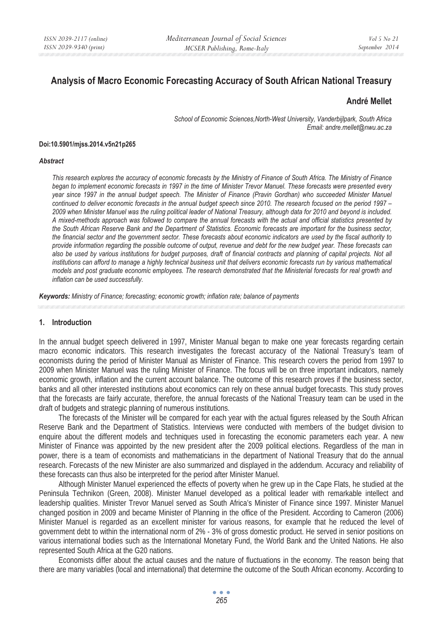# **Analysis of Macro Economic Forecasting Accuracy of South African National Treasury**

## **André Mellet**

*School of Economic Sciences,North-West University, Vanderbijlpark, South Africa Email: andre.mellet@nwu.ac.za* 

#### **Doi:10.5901/mjss.2014.v5n21p265**

#### *Abstract*

*This research explores the accuracy of economic forecasts by the Ministry of Finance of South Africa. The Ministry of Finance began to implement economic forecasts in 1997 in the time of Minister Trevor Manuel. These forecasts were presented every year since 1997 in the annual budget speech. The Minister of Finance (Pravin Gordhan) who succeeded Minister Manuel continued to deliver economic forecasts in the annual budget speech since 2010. The research focused on the period 1997 – 2009 when Minister Manuel was the ruling political leader of National Treasury, although data for 2010 and beyond is included. A mixed-methods approach was followed to compare the annual forecasts with the actual and official statistics presented by the South African Reserve Bank and the Department of Statistics. Economic forecasts are important for the business sector, the financial sector and the government sector. These forecasts about economic indicators are used by the fiscal authority to provide information regarding the possible outcome of output, revenue and debt for the new budget year. These forecasts can*  also be used by various institutions for budget purposes, draft of financial contracts and planning of capital projects. Not all *institutions can afford to manage a highly technical business unit that delivers economic forecasts run by various mathematical models and post graduate economic employees. The research demonstrated that the Ministerial forecasts for real growth and inflation can be used successfully.* 

*Keywords: Ministry of Finance; forecasting; economic growth; inflation rate; balance of payments* 

#### **1. Introduction**

In the annual budget speech delivered in 1997, Minister Manual began to make one year forecasts regarding certain macro economic indicators. This research investigates the forecast accuracy of the National Treasury's team of economists during the period of Minister Manual as Minister of Finance. This research covers the period from 1997 to 2009 when Minister Manuel was the ruling Minister of Finance. The focus will be on three important indicators, namely economic growth, inflation and the current account balance. The outcome of this research proves if the business sector, banks and all other interested institutions about economics can rely on these annual budget forecasts. This study proves that the forecasts are fairly accurate, therefore, the annual forecasts of the National Treasury team can be used in the draft of budgets and strategic planning of numerous institutions.

The forecasts of the Minister will be compared for each year with the actual figures released by the South African Reserve Bank and the Department of Statistics. Interviews were conducted with members of the budget division to enquire about the different models and techniques used in forecasting the economic parameters each year. A new Minister of Finance was appointed by the new president after the 2009 political elections. Regardless of the man in power, there is a team of economists and mathematicians in the department of National Treasury that do the annual research. Forecasts of the new Minister are also summarized and displayed in the addendum. Accuracy and reliability of these forecasts can thus also be interpreted for the period after Minister Manuel.

Although Minister Manuel experienced the effects of poverty when he grew up in the Cape Flats, he studied at the Peninsula Technikon (Green, 2008). Minister Manuel developed as a political leader with remarkable intellect and leadership qualities. Minister Trevor Manuel served as South Africa's Minister of Finance since 1997. Minister Manuel changed position in 2009 and became Minister of Planning in the office of the President. According to Cameron (2006) Minister Manuel is regarded as an excellent minister for various reasons, for example that he reduced the level of government debt to within the international norm of 2% - 3% of gross domestic product. He served in senior positions on various international bodies such as the International Monetary Fund, the World Bank and the United Nations. He also represented South Africa at the G20 nations.

Economists differ about the actual causes and the nature of fluctuations in the economy. The reason being that there are many variables (local and international) that determine the outcome of the South African economy. According to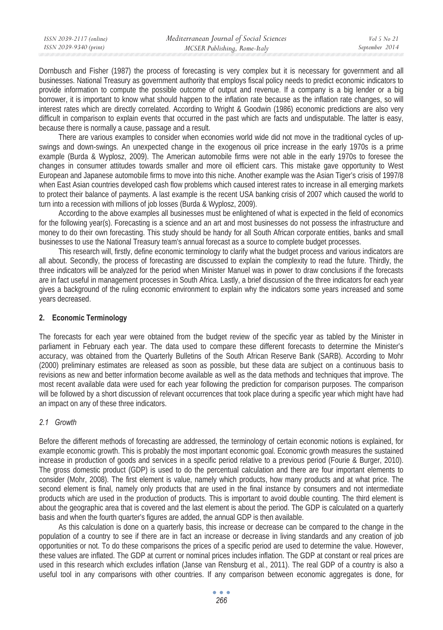| ISSN 2039-2117 (online) | Mediterranean Journal of Social Sciences | Vol 5 No 21    |
|-------------------------|------------------------------------------|----------------|
| ISSN 2039-9340 (print)  | MCSER Publishing, Rome-Italy             | September 2014 |
|                         |                                          |                |

Dornbusch and Fisher (1987) the process of forecasting is very complex but it is necessary for government and all businesses. National Treasury as government authority that employs fiscal policy needs to predict economic indicators to provide information to compute the possible outcome of output and revenue. If a company is a big lender or a big borrower, it is important to know what should happen to the inflation rate because as the inflation rate changes, so will interest rates which are directly correlated. According to Wright & Goodwin (1986) economic predictions are also very difficult in comparison to explain events that occurred in the past which are facts and undisputable. The latter is easy, because there is normally a cause, passage and a result.

There are various examples to consider when economies world wide did not move in the traditional cycles of upswings and down-swings. An unexpected change in the exogenous oil price increase in the early 1970s is a prime example (Burda & Wyplosz, 2009). The American automobile firms were not able in the early 1970s to foresee the changes in consumer attitudes towards smaller and more oil efficient cars. This mistake gave opportunity to West European and Japanese automobile firms to move into this niche. Another example was the Asian Tiger's crisis of 1997/8 when East Asian countries developed cash flow problems which caused interest rates to increase in all emerging markets to protect their balance of payments. A last example is the recent USA banking crisis of 2007 which caused the world to turn into a recession with millions of job losses (Burda & Wyplosz, 2009).

According to the above examples all businesses must be enlightened of what is expected in the field of economics for the following year(s). Forecasting is a science and an art and most businesses do not possess the infrastructure and money to do their own forecasting. This study should be handy for all South African corporate entities, banks and small businesses to use the National Treasury team's annual forecast as a source to complete budget processes.

This research will, firstly, define economic terminology to clarify what the budget process and various indicators are all about. Secondly, the process of forecasting are discussed to explain the complexity to read the future. Thirdly, the three indicators will be analyzed for the period when Minister Manuel was in power to draw conclusions if the forecasts are in fact useful in management processes in South Africa. Lastly, a brief discussion of the three indicators for each year gives a background of the ruling economic environment to explain why the indicators some years increased and some years decreased.

## **2. Economic Terminology**

The forecasts for each year were obtained from the budget review of the specific year as tabled by the Minister in parliament in February each year. The data used to compare these different forecasts to determine the Minister's accuracy, was obtained from the Quarterly Bulletins of the South African Reserve Bank (SARB). According to Mohr (2000) preliminary estimates are released as soon as possible, but these data are subject on a continuous basis to revisions as new and better information become available as well as the data methods and techniques that improve. The most recent available data were used for each year following the prediction for comparison purposes. The comparison will be followed by a short discussion of relevant occurrences that took place during a specific year which might have had an impact on any of these three indicators.

# *2.1 Growth*

Before the different methods of forecasting are addressed, the terminology of certain economic notions is explained, for example economic growth. This is probably the most important economic goal. Economic growth measures the sustained increase in production of goods and services in a specific period relative to a previous period (Fourie & Burger, 2010). The gross domestic product (GDP) is used to do the percentual calculation and there are four important elements to consider (Mohr, 2008). The first element is value, namely which products, how many products and at what price. The second element is final, namely only products that are used in the final instance by consumers and not intermediate products which are used in the production of products. This is important to avoid double counting. The third element is about the geographic area that is covered and the last element is about the period. The GDP is calculated on a quarterly basis and when the fourth quarter's figures are added, the annual GDP is then available.

As this calculation is done on a quarterly basis, this increase or decrease can be compared to the change in the population of a country to see if there are in fact an increase or decrease in living standards and any creation of job opportunities or not. To do these comparisons the prices of a specific period are used to determine the value. However, these values are inflated. The GDP at current or nominal prices includes inflation. The GDP at constant or real prices are used in this research which excludes inflation (Janse van Rensburg et al., 2011). The real GDP of a country is also a useful tool in any comparisons with other countries. If any comparison between economic aggregates is done, for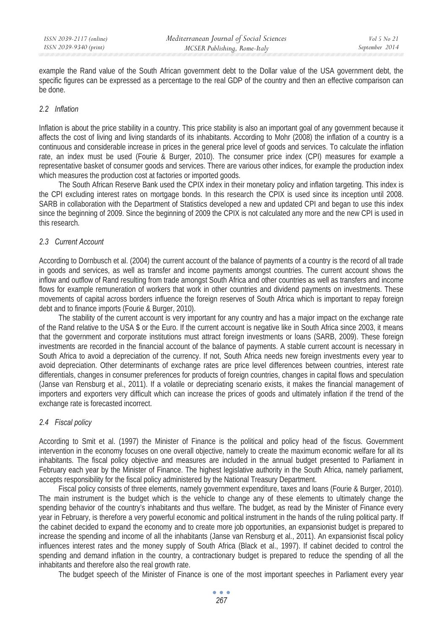example the Rand value of the South African government debt to the Dollar value of the USA government debt, the specific figures can be expressed as a percentage to the real GDP of the country and then an effective comparison can be done.

## *2.2 Inflation*

Inflation is about the price stability in a country. This price stability is also an important goal of any government because it affects the cost of living and living standards of its inhabitants. According to Mohr (2008) the inflation of a country is a continuous and considerable increase in prices in the general price level of goods and services. To calculate the inflation rate, an index must be used (Fourie & Burger, 2010). The consumer price index (CPI) measures for example a representative basket of consumer goods and services. There are various other indices, for example the production index which measures the production cost at factories or imported goods.

The South African Reserve Bank used the CPIX index in their monetary policy and inflation targeting. This index is the CPI excluding interest rates on mortgage bonds. In this research the CPIX is used since its inception until 2008. SARB in collaboration with the Department of Statistics developed a new and updated CPI and began to use this index since the beginning of 2009. Since the beginning of 2009 the CPIX is not calculated any more and the new CPI is used in this research.

## *2.3 Current Account*

According to Dornbusch et al. (2004) the current account of the balance of payments of a country is the record of all trade in goods and services, as well as transfer and income payments amongst countries. The current account shows the inflow and outflow of Rand resulting from trade amongst South Africa and other countries as well as transfers and income flows for example remuneration of workers that work in other countries and dividend payments on investments. These movements of capital across borders influence the foreign reserves of South Africa which is important to repay foreign debt and to finance imports (Fourie & Burger, 2010).

The stability of the current account is very important for any country and has a major impact on the exchange rate of the Rand relative to the USA \$ or the Euro. If the current account is negative like in South Africa since 2003, it means that the government and corporate institutions must attract foreign investments or loans (SARB, 2009). These foreign investments are recorded in the financial account of the balance of payments. A stable current account is necessary in South Africa to avoid a depreciation of the currency. If not, South Africa needs new foreign investments every year to avoid depreciation. Other determinants of exchange rates are price level differences between countries, interest rate differentials, changes in consumer preferences for products of foreign countries, changes in capital flows and speculation (Janse van Rensburg et al., 2011). If a volatile or depreciating scenario exists, it makes the financial management of importers and exporters very difficult which can increase the prices of goods and ultimately inflation if the trend of the exchange rate is forecasted incorrect.

# *2.4 Fiscal policy*

According to Smit et al. (1997) the Minister of Finance is the political and policy head of the fiscus. Government intervention in the economy focuses on one overall objective, namely to create the maximum economic welfare for all its inhabitants. The fiscal policy objective and measures are included in the annual budget presented to Parliament in February each year by the Minister of Finance. The highest legislative authority in the South Africa, namely parliament, accepts responsibility for the fiscal policy administered by the National Treasury Department.

Fiscal policy consists of three elements, namely government expenditure, taxes and loans (Fourie & Burger, 2010). The main instrument is the budget which is the vehicle to change any of these elements to ultimately change the spending behavior of the country's inhabitants and thus welfare. The budget, as read by the Minister of Finance every year in February, is therefore a very powerful economic and political instrument in the hands of the ruling political party. If the cabinet decided to expand the economy and to create more job opportunities, an expansionist budget is prepared to increase the spending and income of all the inhabitants (Janse van Rensburg et al., 2011). An expansionist fiscal policy influences interest rates and the money supply of South Africa (Black et al., 1997). If cabinet decided to control the spending and demand inflation in the country, a contractionary budget is prepared to reduce the spending of all the inhabitants and therefore also the real growth rate.

The budget speech of the Minister of Finance is one of the most important speeches in Parliament every year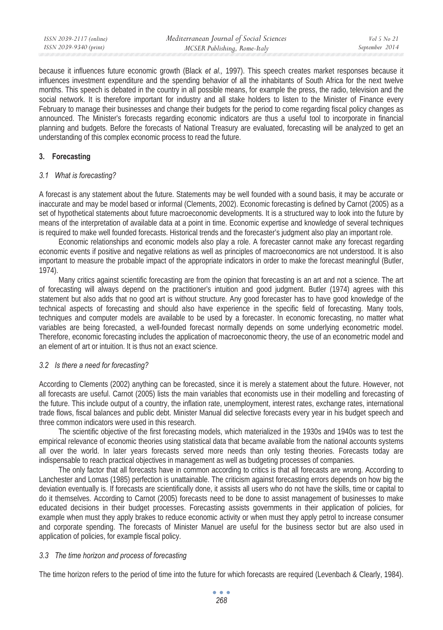| ISSN 2039-2117 (online) | Mediterranean Journal of Social Sciences | Vol 5 No 21    |
|-------------------------|------------------------------------------|----------------|
| ISSN 2039-9340 (print)  | MCSER Publishing, Rome-Italy             | September 2014 |
|                         |                                          |                |

because it influences future economic growth (Black *et al*.*,* 1997). This speech creates market responses because it influences investment expenditure and the spending behavior of all the inhabitants of South Africa for the next twelve months. This speech is debated in the country in all possible means, for example the press, the radio, television and the social network. It is therefore important for industry and all stake holders to listen to the Minister of Finance every February to manage their businesses and change their budgets for the period to come regarding fiscal policy changes as announced. The Minister's forecasts regarding economic indicators are thus a useful tool to incorporate in financial planning and budgets. Before the forecasts of National Treasury are evaluated, forecasting will be analyzed to get an understanding of this complex economic process to read the future.

## **3. Forecasting**

## *3.1 What is forecasting?*

A forecast is any statement about the future. Statements may be well founded with a sound basis, it may be accurate or inaccurate and may be model based or informal (Clements, 2002). Economic forecasting is defined by Carnot (2005) as a set of hypothetical statements about future macroeconomic developments. It is a structured way to look into the future by means of the interpretation of available data at a point in time. Economic expertise and knowledge of several techniques is required to make well founded forecasts. Historical trends and the forecaster's judgment also play an important role.

Economic relationships and economic models also play a role. A forecaster cannot make any forecast regarding economic events if positive and negative relations as well as principles of macroeconomics are not understood. It is also important to measure the probable impact of the appropriate indicators in order to make the forecast meaningful (Butler, 1974).

Many critics against scientific forecasting are from the opinion that forecasting is an art and not a science. The art of forecasting will always depend on the practitioner's intuition and good judgment. Butler (1974) agrees with this statement but also adds that no good art is without structure. Any good forecaster has to have good knowledge of the technical aspects of forecasting and should also have experience in the specific field of forecasting. Many tools, techniques and computer models are available to be used by a forecaster. In economic forecasting, no matter what variables are being forecasted, a well-founded forecast normally depends on some underlying econometric model. Therefore, economic forecasting includes the application of macroeconomic theory, the use of an econometric model and an element of art or intuition. It is thus not an exact science.

# *3.2 Is there a need for forecasting?*

According to Clements (2002) anything can be forecasted, since it is merely a statement about the future. However, not all forecasts are useful. Carnot (2005) lists the main variables that economists use in their modelling and forecasting of the future. This include output of a country, the inflation rate, unemployment, interest rates, exchange rates, international trade flows, fiscal balances and public debt. Minister Manual did selective forecasts every year in his budget speech and three common indicators were used in this research.

The scientific objective of the first forecasting models, which materialized in the 1930s and 1940s was to test the empirical relevance of economic theories using statistical data that became available from the national accounts systems all over the world. In later years forecasts served more needs than only testing theories. Forecasts today are indispensable to reach practical objectives in management as well as budgeting processes of companies.

The only factor that all forecasts have in common according to critics is that all forecasts are wrong. According to Lanchester and Lomas (1985) perfection is unattainable. The criticism against forecasting errors depends on how big the deviation eventually is. If forecasts are scientifically done, it assists all users who do not have the skills, time or capital to do it themselves. According to Carnot (2005) forecasts need to be done to assist management of businesses to make educated decisions in their budget processes. Forecasting assists governments in their application of policies, for example when must they apply brakes to reduce economic activity or when must they apply petrol to increase consumer and corporate spending. The forecasts of Minister Manuel are useful for the business sector but are also used in application of policies, for example fiscal policy.

## *3.3 The time horizon and process of forecasting*

The time horizon refers to the period of time into the future for which forecasts are required (Levenbach & Clearly, 1984).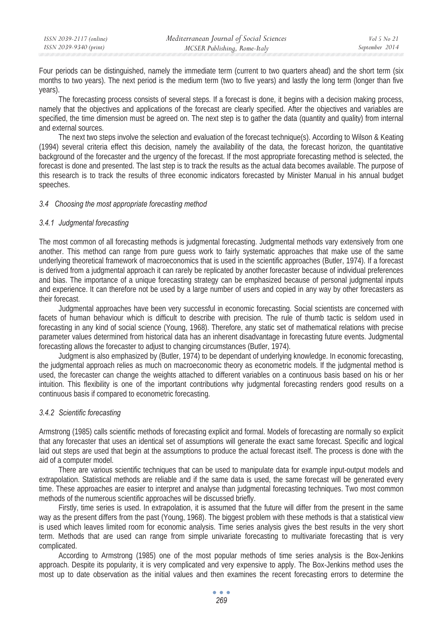| ISSN 2039-2117 (online) | Mediterranean Journal of Social Sciences | Vol 5 No 21    |
|-------------------------|------------------------------------------|----------------|
| ISSN 2039-9340 (print)  | MCSER Publishing, Rome-Italy             | September 2014 |

Four periods can be distinguished, namely the immediate term (current to two quarters ahead) and the short term (six months to two years). The next period is the medium term (two to five years) and lastly the long term (longer than five years).

The forecasting process consists of several steps. If a forecast is done, it begins with a decision making process, namely that the objectives and applications of the forecast are clearly specified. After the objectives and variables are specified, the time dimension must be agreed on. The next step is to gather the data (quantity and quality) from internal and external sources.

The next two steps involve the selection and evaluation of the forecast technique(s). According to Wilson & Keating (1994) several criteria effect this decision, namely the availability of the data, the forecast horizon, the quantitative background of the forecaster and the urgency of the forecast. If the most appropriate forecasting method is selected, the forecast is done and presented. The last step is to track the results as the actual data becomes available. The purpose of this research is to track the results of three economic indicators forecasted by Minister Manual in his annual budget speeches.

#### *3.4 Choosing the most appropriate forecasting method*

### *3.4.1 Judgmental forecasting*

The most common of all forecasting methods is judgmental forecasting. Judgmental methods vary extensively from one another. This method can range from pure guess work to fairly systematic approaches that make use of the same underlying theoretical framework of macroeconomics that is used in the scientific approaches (Butler, 1974). If a forecast is derived from a judgmental approach it can rarely be replicated by another forecaster because of individual preferences and bias. The importance of a unique forecasting strategy can be emphasized because of personal judgmental inputs and experience. It can therefore not be used by a large number of users and copied in any way by other forecasters as their forecast.

Judgmental approaches have been very successful in economic forecasting. Social scientists are concerned with facets of human behaviour which is difficult to describe with precision. The rule of thumb tactic is seldom used in forecasting in any kind of social science (Young, 1968). Therefore, any static set of mathematical relations with precise parameter values determined from historical data has an inherent disadvantage in forecasting future events. Judgmental forecasting allows the forecaster to adjust to changing circumstances (Butler, 1974).

Judgment is also emphasized by (Butler, 1974) to be dependant of underlying knowledge. In economic forecasting, the judgmental approach relies as much on macroeconomic theory as econometric models. If the judgmental method is used, the forecaster can change the weights attached to different variables on a continuous basis based on his or her intuition. This flexibility is one of the important contributions why judgmental forecasting renders good results on a continuous basis if compared to econometric forecasting.

#### *3.4.2 Scientific forecasting*

Armstrong (1985) calls scientific methods of forecasting explicit and formal. Models of forecasting are normally so explicit that any forecaster that uses an identical set of assumptions will generate the exact same forecast. Specific and logical laid out steps are used that begin at the assumptions to produce the actual forecast itself. The process is done with the aid of a computer model.

There are various scientific techniques that can be used to manipulate data for example input-output models and extrapolation. Statistical methods are reliable and if the same data is used, the same forecast will be generated every time. These approaches are easier to interpret and analyse than judgmental forecasting techniques. Two most common methods of the numerous scientific approaches will be discussed briefly.

Firstly, time series is used. In extrapolation, it is assumed that the future will differ from the present in the same way as the present differs from the past (Young, 1968). The biggest problem with these methods is that a statistical view is used which leaves limited room for economic analysis. Time series analysis gives the best results in the very short term. Methods that are used can range from simple univariate forecasting to multivariate forecasting that is very complicated.

According to Armstrong (1985) one of the most popular methods of time series analysis is the Box-Jenkins approach. Despite its popularity, it is very complicated and very expensive to apply. The Box-Jenkins method uses the most up to date observation as the initial values and then examines the recent forecasting errors to determine the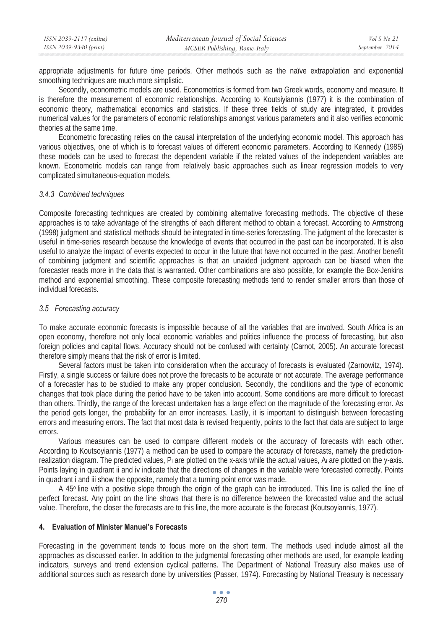| ISSN 2039-2117 (online) | Mediterranean Journal of Social Sciences | Vol 5 No 21    |
|-------------------------|------------------------------------------|----------------|
| ISSN 2039-9340 (print)  | MCSER Publishing, Rome-Italy             | September 2014 |

appropriate adjustments for future time periods. Other methods such as the naïve extrapolation and exponential smoothing techniques are much more simplistic.

Secondly, econometric models are used. Econometrics is formed from two Greek words, economy and measure. It is therefore the measurement of economic relationships. According to Koutsiyiannis (1977) it is the combination of economic theory, mathematical economics and statistics. If these three fields of study are integrated, it provides numerical values for the parameters of economic relationships amongst various parameters and it also verifies economic theories at the same time.

Econometric forecasting relies on the causal interpretation of the underlying economic model. This approach has various objectives, one of which is to forecast values of different economic parameters. According to Kennedy (1985) these models can be used to forecast the dependent variable if the related values of the independent variables are known. Econometric models can range from relatively basic approaches such as linear regression models to very complicated simultaneous-equation models.

### *3.4.3 Combined techniques*

Composite forecasting techniques are created by combining alternative forecasting methods. The objective of these approaches is to take advantage of the strengths of each different method to obtain a forecast. According to Armstrong (1998) judgment and statistical methods should be integrated in time-series forecasting. The judgment of the forecaster is useful in time-series research because the knowledge of events that occurred in the past can be incorporated. It is also useful to analyze the impact of events expected to occur in the future that have not occurred in the past. Another benefit of combining judgment and scientific approaches is that an unaided judgment approach can be biased when the forecaster reads more in the data that is warranted. Other combinations are also possible, for example the Box-Jenkins method and exponential smoothing. These composite forecasting methods tend to render smaller errors than those of individual forecasts.

#### *3.5 Forecasting accuracy*

To make accurate economic forecasts is impossible because of all the variables that are involved. South Africa is an open economy, therefore not only local economic variables and politics influence the process of forecasting, but also foreign policies and capital flows. Accuracy should not be confused with certainty (Carnot, 2005). An accurate forecast therefore simply means that the risk of error is limited.

Several factors must be taken into consideration when the accuracy of forecasts is evaluated (Zarnowitz, 1974). Firstly, a single success or failure does not prove the forecasts to be accurate or not accurate. The average performance of a forecaster has to be studied to make any proper conclusion. Secondly, the conditions and the type of economic changes that took place during the period have to be taken into account. Some conditions are more difficult to forecast than others. Thirdly, the range of the forecast undertaken has a large effect on the magnitude of the forecasting error. As the period gets longer, the probability for an error increases. Lastly, it is important to distinguish between forecasting errors and measuring errors. The fact that most data is revised frequently, points to the fact that data are subject to large errors.

Various measures can be used to compare different models or the accuracy of forecasts with each other. According to Koutsoyiannis (1977) a method can be used to compare the accuracy of forecasts, namely the predictionrealization diagram. The predicted values,  $P_i$  are plotted on the x-axis while the actual values,  $A_i$  are plotted on the y-axis. Points laying in quadrant ii and iv indicate that the directions of changes in the variable were forecasted correctly. Points in quadrant i and iii show the opposite, namely that a turning point error was made.

A 45<sup>o</sup> line with a positive slope through the origin of the graph can be introduced. This line is called the line of perfect forecast. Any point on the line shows that there is no difference between the forecasted value and the actual value. Therefore, the closer the forecasts are to this line, the more accurate is the forecast (Koutsoyiannis, 1977).

## **4. Evaluation of Minister Manuel's Forecasts**

Forecasting in the government tends to focus more on the short term. The methods used include almost all the approaches as discussed earlier. In addition to the judgmental forecasting other methods are used, for example leading indicators, surveys and trend extension cyclical patterns. The Department of National Treasury also makes use of additional sources such as research done by universities (Passer, 1974). Forecasting by National Treasury is necessary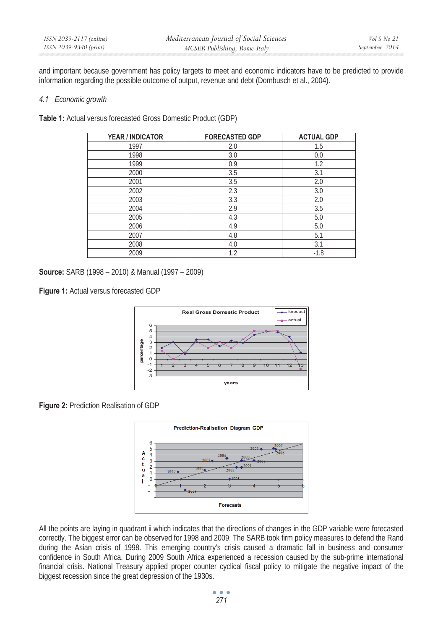and important because government has policy targets to meet and economic indicators have to be predicted to provide information regarding the possible outcome of output, revenue and debt (Dornbusch et al., 2004).

### *4.1 Economic growth*

**Table 1:** Actual versus forecasted Gross Domestic Product (GDP)

| <b>YEAR / INDICATOR</b> | <b>FORECASTED GDP</b> | <b>ACTUAL GDP</b> |
|-------------------------|-----------------------|-------------------|
| 1997                    | 2.0                   | 1.5               |
| 1998                    | 3.0                   | 0.0               |
| 1999                    | 0.9                   | 1.2               |
| 2000                    | 3.5                   | 3.1               |
| 2001                    | 3.5                   | 2.0               |
| 2002                    | 2.3                   | 3.0               |
| 2003                    | 3.3                   | 2.0               |
| 2004                    | 2.9                   | 3.5               |
| 2005                    | 4.3                   | 5.0               |
| 2006                    | 4.9                   | 5.0               |
| 2007                    | 4.8                   | 5.1               |
| 2008                    | 4.0                   | 3.1               |
| 2009                    | 1.2                   | $-1.8$            |

**Source:** SARB (1998 – 2010) & Manual (1997 – 2009)

**Figure 1:** Actual versus forecasted GDP



**Figure 2:** Prediction Realisation of GDP



All the points are laying in quadrant ii which indicates that the directions of changes in the GDP variable were forecasted correctly. The biggest error can be observed for 1998 and 2009. The SARB took firm policy measures to defend the Rand during the Asian crisis of 1998. This emerging country's crisis caused a dramatic fall in business and consumer confidence in South Africa. During 2009 South Africa experienced a recession caused by the sub-prime international financial crisis. National Treasury applied proper counter cyclical fiscal policy to mitigate the negative impact of the biggest recession since the great depression of the 1930s.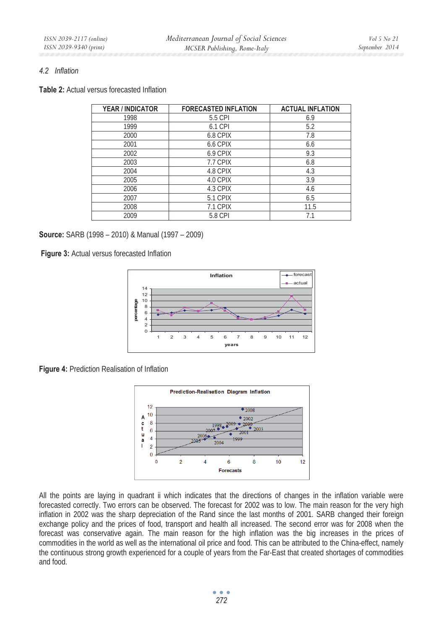## *4.2 Inflation*

**Table 2:** Actual versus forecasted Inflation

| <b>YEAR / INDICATOR</b> | <b>FORECASTED INFLATION</b> | <b>ACTUAL INFLATION</b> |
|-------------------------|-----------------------------|-------------------------|
| 1998                    | 5.5 CPI                     | 6.9                     |
| 1999                    | 6.1 CPI                     | 5.2                     |
| 2000                    | 6.8 CPIX                    | 7.8                     |
| 2001                    | 6.6 CPIX                    | 6.6                     |
| 2002                    | 6.9 CPIX                    | 9.3                     |
| 2003                    | 7.7 CPIX                    | 6.8                     |
| 2004                    | 4.8 CPIX                    | 4.3                     |
| 2005                    | 4.0 CPIX                    | 3.9                     |
| 2006                    | 4.3 CPIX                    | 4.6                     |
| 2007                    | 5.1 CPIX                    | 6.5                     |
| 2008                    | 7.1 CPIX                    | 11.5                    |
| 2009                    | 5.8 CPI                     | 7.1                     |

**Source:** SARB (1998 – 2010) & Manual (1997 – 2009)

**Figure 3:** Actual versus forecasted Inflation



**Figure 4:** Prediction Realisation of Inflation



All the points are laying in quadrant ii which indicates that the directions of changes in the inflation variable were forecasted correctly. Two errors can be observed. The forecast for 2002 was to low. The main reason for the very high inflation in 2002 was the sharp depreciation of the Rand since the last months of 2001. SARB changed their foreign exchange policy and the prices of food, transport and health all increased. The second error was for 2008 when the forecast was conservative again. The main reason for the high inflation was the big increases in the prices of commodities in the world as well as the international oil price and food. This can be attributed to the China-effect, namely the continuous strong growth experienced for a couple of years from the Far-East that created shortages of commodities and food.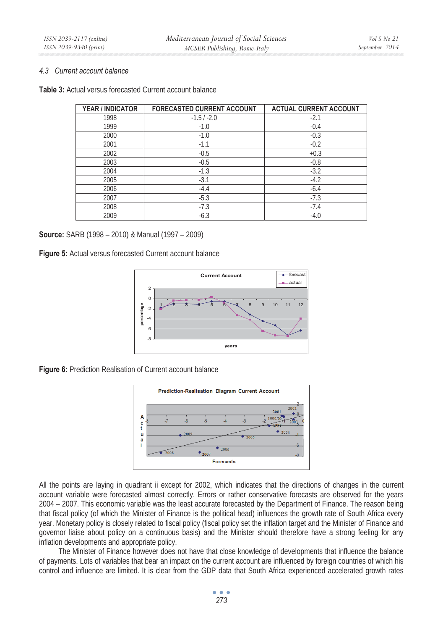## *4.3 Current account balance*

| <b>Table 3:</b> Actual versus forecasted Current account balance |  |  |  |  |
|------------------------------------------------------------------|--|--|--|--|
|------------------------------------------------------------------|--|--|--|--|

| YEAR / INDICATOR | <b>FORECASTED CURRENT ACCOUNT</b> | <b>ACTUAL CURRENT ACCOUNT</b> |
|------------------|-----------------------------------|-------------------------------|
| 1998             | $-1.5/ -2.0$                      | $-2.1$                        |
| 1999             | $-1.0$                            | $-0.4$                        |
| 2000             | $-1.0$                            | $-0.3$                        |
| 2001             | $-1.1$                            | $-0.2$                        |
| 2002             | $-0.5$                            | $+0.3$                        |
| 2003             | $-0.5$                            | $-0.8$                        |
| 2004             | $-1.3$                            | $-3.2$                        |
| 2005             | $-3.1$                            | $-4.2$                        |
| 2006             | $-4.4$                            | $-6.4$                        |
| 2007             | $-5.3$                            | $-7.3$                        |
| 2008             | $-7.3$                            | $-7.4$                        |
| 2009             | $-6.3$                            | $-4.0$                        |

#### **Source:** SARB (1998 – 2010) & Manual (1997 – 2009)

**Figure 5:** Actual versus forecasted Current account balance



**Figure 6:** Prediction Realisation of Current account balance



All the points are laying in quadrant ii except for 2002, which indicates that the directions of changes in the current account variable were forecasted almost correctly. Errors or rather conservative forecasts are observed for the years 2004 – 2007. This economic variable was the least accurate forecasted by the Department of Finance. The reason being that fiscal policy (of which the Minister of Finance is the political head) influences the growth rate of South Africa every year. Monetary policy is closely related to fiscal policy (fiscal policy set the inflation target and the Minister of Finance and governor liaise about policy on a continuous basis) and the Minister should therefore have a strong feeling for any inflation developments and appropriate policy.

The Minister of Finance however does not have that close knowledge of developments that influence the balance of payments. Lots of variables that bear an impact on the current account are influenced by foreign countries of which his control and influence are limited. It is clear from the GDP data that South Africa experienced accelerated growth rates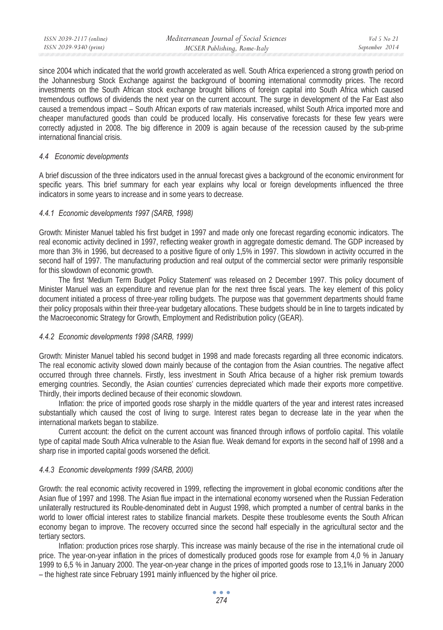| ISSN 2039-2117 (online) | Mediterranean Journal of Social Sciences | Vol 5 No 21    |
|-------------------------|------------------------------------------|----------------|
| ISSN 2039-9340 (print)  | MCSER Publishing, Rome-Italy             | September 2014 |
|                         |                                          |                |

since 2004 which indicated that the world growth accelerated as well. South Africa experienced a strong growth period on the Johannesburg Stock Exchange against the background of booming international commodity prices. The record investments on the South African stock exchange brought billions of foreign capital into South Africa which caused tremendous outflows of dividends the next year on the current account. The surge in development of the Far East also caused a tremendous impact – South African exports of raw materials increased, whilst South Africa imported more and cheaper manufactured goods than could be produced locally. His conservative forecasts for these few years were correctly adjusted in 2008. The big difference in 2009 is again because of the recession caused by the sub-prime international financial crisis.

### *4.4 Economic developments*

A brief discussion of the three indicators used in the annual forecast gives a background of the economic environment for specific years. This brief summary for each year explains why local or foreign developments influenced the three indicators in some years to increase and in some years to decrease.

#### *4.4.1 Economic developments 1997 (SARB, 1998)*

Growth: Minister Manuel tabled his first budget in 1997 and made only one forecast regarding economic indicators. The real economic activity declined in 1997, reflecting weaker growth in aggregate domestic demand. The GDP increased by more than 3% in 1996, but decreased to a positive figure of only 1,5% in 1997. This slowdown in activity occurred in the second half of 1997. The manufacturing production and real output of the commercial sector were primarily responsible for this slowdown of economic growth.

The first 'Medium Term Budget Policy Statement' was released on 2 December 1997. This policy document of Minister Manuel was an expenditure and revenue plan for the next three fiscal years. The key element of this policy document initiated a process of three-year rolling budgets. The purpose was that government departments should frame their policy proposals within their three-year budgetary allocations. These budgets should be in line to targets indicated by the Macroeconomic Strategy for Growth, Employment and Redistribution policy (GEAR).

## *4.4.2 Economic developments 1998 (SARB, 1999)*

Growth: Minister Manuel tabled his second budget in 1998 and made forecasts regarding all three economic indicators. The real economic activity slowed down mainly because of the contagion from the Asian countries. The negative affect occurred through three channels. Firstly, less investment in South Africa because of a higher risk premium towards emerging countries. Secondly, the Asian counties' currencies depreciated which made their exports more competitive. Thirdly, their imports declined because of their economic slowdown.

Inflation: the price of imported goods rose sharply in the middle quarters of the year and interest rates increased substantially which caused the cost of living to surge. Interest rates began to decrease late in the year when the international markets began to stabilize.

Current account: the deficit on the current account was financed through inflows of portfolio capital. This volatile type of capital made South Africa vulnerable to the Asian flue. Weak demand for exports in the second half of 1998 and a sharp rise in imported capital goods worsened the deficit.

## *4.4.3 Economic developments 1999 (SARB, 2000)*

Growth: the real economic activity recovered in 1999, reflecting the improvement in global economic conditions after the Asian flue of 1997 and 1998. The Asian flue impact in the international economy worsened when the Russian Federation unilaterally restructured its Rouble-denominated debt in August 1998, which prompted a number of central banks in the world to lower official interest rates to stabilize financial markets. Despite these troublesome events the South African economy began to improve. The recovery occurred since the second half especially in the agricultural sector and the tertiary sectors.

Inflation: production prices rose sharply. This increase was mainly because of the rise in the international crude oil price. The year-on-year inflation in the prices of domestically produced goods rose for example from 4,0 % in January 1999 to 6,5 % in January 2000. The year-on-year change in the prices of imported goods rose to 13,1% in January 2000 – the highest rate since February 1991 mainly influenced by the higher oil price.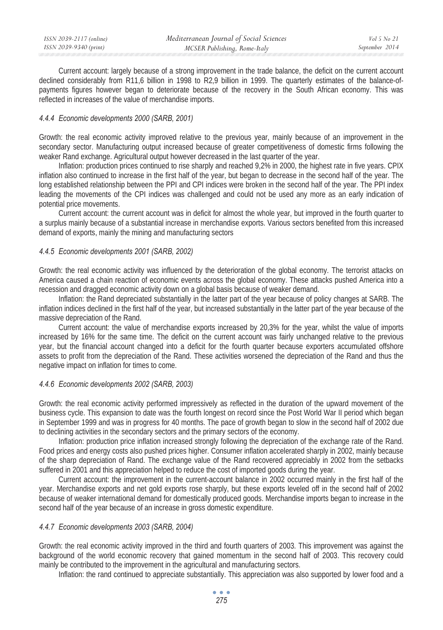| ISSN 2039-2117 (online) | Mediterranean Journal of Social Sciences | Vol 5 No 21    |
|-------------------------|------------------------------------------|----------------|
| ISSN 2039-9340 (print)  | MCSER Publishing, Rome-Italy             | September 2014 |
|                         |                                          |                |

Current account: largely because of a strong improvement in the trade balance, the deficit on the current account declined considerably from R11,6 billion in 1998 to R2,9 billion in 1999. The quarterly estimates of the balance-ofpayments figures however began to deteriorate because of the recovery in the South African economy. This was reflected in increases of the value of merchandise imports.

## *4.4.4 Economic developments 2000 (SARB, 2001)*

Growth: the real economic activity improved relative to the previous year, mainly because of an improvement in the secondary sector. Manufacturing output increased because of greater competitiveness of domestic firms following the weaker Rand exchange. Agricultural output however decreased in the last quarter of the year.

Inflation: production prices continued to rise sharply and reached 9,2% in 2000, the highest rate in five years. CPIX inflation also continued to increase in the first half of the year, but began to decrease in the second half of the year. The long established relationship between the PPI and CPI indices were broken in the second half of the year. The PPI index leading the movements of the CPI indices was challenged and could not be used any more as an early indication of potential price movements.

Current account: the current account was in deficit for almost the whole year, but improved in the fourth quarter to a surplus mainly because of a substantial increase in merchandise exports. Various sectors benefited from this increased demand of exports, mainly the mining and manufacturing sectors

## *4.4.5 Economic developments 2001 (SARB, 2002)*

Growth: the real economic activity was influenced by the deterioration of the global economy. The terrorist attacks on America caused a chain reaction of economic events across the global economy. These attacks pushed America into a recession and dragged economic activity down on a global basis because of weaker demand.

Inflation: the Rand depreciated substantially in the latter part of the year because of policy changes at SARB. The inflation indices declined in the first half of the year, but increased substantially in the latter part of the year because of the massive depreciation of the Rand.

Current account: the value of merchandise exports increased by 20,3% for the year, whilst the value of imports increased by 16% for the same time. The deficit on the current account was fairly unchanged relative to the previous year, but the financial account changed into a deficit for the fourth quarter because exporters accumulated offshore assets to profit from the depreciation of the Rand. These activities worsened the depreciation of the Rand and thus the negative impact on inflation for times to come.

## *4.4.6 Economic developments 2002 (SARB, 2003)*

Growth: the real economic activity performed impressively as reflected in the duration of the upward movement of the business cycle. This expansion to date was the fourth longest on record since the Post World War II period which began in September 1999 and was in progress for 40 months. The pace of growth began to slow in the second half of 2002 due to declining activities in the secondary sectors and the primary sectors of the economy.

Inflation: production price inflation increased strongly following the depreciation of the exchange rate of the Rand. Food prices and energy costs also pushed prices higher. Consumer inflation accelerated sharply in 2002, mainly because of the sharp depreciation of Rand. The exchange value of the Rand recovered appreciably in 2002 from the setbacks suffered in 2001 and this appreciation helped to reduce the cost of imported goods during the year.

Current account: the improvement in the current-account balance in 2002 occurred mainly in the first half of the year. Merchandise exports and net gold exports rose sharply, but these exports leveled off in the second half of 2002 because of weaker international demand for domestically produced goods. Merchandise imports began to increase in the second half of the year because of an increase in gross domestic expenditure.

## *4.4.7 Economic developments 2003 (SARB, 2004)*

Growth: the real economic activity improved in the third and fourth quarters of 2003. This improvement was against the background of the world economic recovery that gained momentum in the second half of 2003. This recovery could mainly be contributed to the improvement in the agricultural and manufacturing sectors.

Inflation: the rand continued to appreciate substantially. This appreciation was also supported by lower food and a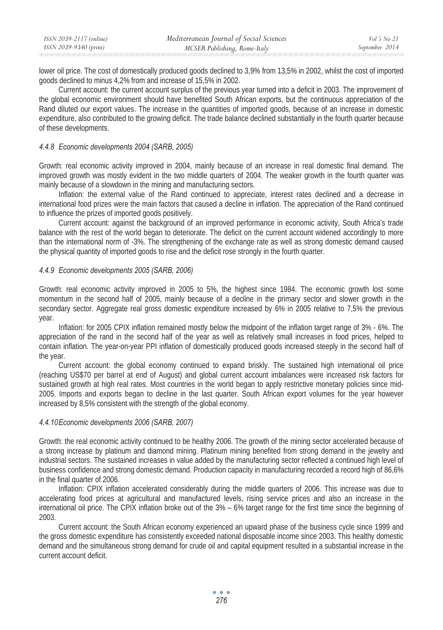| ISSN 2039-2117 (online) | Mediterranean Journal of Social Sciences | Vol 5 No 21    |
|-------------------------|------------------------------------------|----------------|
| ISSN 2039-9340 (print)  | MCSER Publishing, Rome-Italy             | September 2014 |

lower oil price. The cost of domestically produced goods declined to 3,9% from 13,5% in 2002, whilst the cost of imported goods declined to minus 4,2% from and increase of 15,5% in 2002.

Current account: the current account surplus of the previous year turned into a deficit in 2003. The improvement of the global economic environment should have benefited South African exports, but the continuous appreciation of the Rand diluted our export values. The increase in the quantities of imported goods, because of an increase in domestic expenditure, also contributed to the growing deficit. The trade balance declined substantially in the fourth quarter because of these developments.

#### *4.4.8 Economic developments 2004 (SARB, 2005)*

Growth: real economic activity improved in 2004, mainly because of an increase in real domestic final demand. The improved growth was mostly evident in the two middle quarters of 2004. The weaker growth in the fourth quarter was mainly because of a slowdown in the mining and manufacturing sectors.

Inflation: the external value of the Rand continued to appreciate, interest rates declined and a decrease in international food prizes were the main factors that caused a decline in inflation. The appreciation of the Rand continued to influence the prizes of imported goods positively.

Current account: against the background of an improved performance in economic activity, South Africa's trade balance with the rest of the world began to deteriorate. The deficit on the current account widened accordingly to more than the international norm of -3%. The strengthening of the exchange rate as well as strong domestic demand caused the physical quantity of imported goods to rise and the deficit rose strongly in the fourth quarter.

#### *4.4.9 Economic developments 2005 (SARB, 2006)*

Growth: real economic activity improved in 2005 to 5%, the highest since 1984. The economic growth lost some momentum in the second half of 2005, mainly because of a decline in the primary sector and slower growth in the secondary sector. Aggregate real gross domestic expenditure increased by 6% in 2005 relative to 7,5% the previous year.

Inflation: for 2005 CPIX inflation remained mostly below the midpoint of the inflation target range of 3% - 6%. The appreciation of the rand in the second half of the year as well as relatively small increases in food prices, helped to contain inflation. The year-on-year PPI inflation of domestically produced goods increased steeply in the second half of the year.

Current account: the global economy continued to expand briskly. The sustained high international oil price (reaching US\$70 per barrel at end of August) and global current account imbalances were increased risk factors for sustained growth at high real rates. Most countries in the world began to apply restrictive monetary policies since mid-2005. Imports and exports began to decline in the last quarter. South African export volumes for the year however increased by 8,5% consistent with the strength of the global economy.

#### *4.4.10Economic developments 2006 (SARB, 2007)*

Growth: the real economic activity continued to be healthy 2006. The growth of the mining sector accelerated because of a strong increase by platinum and diamond mining. Platinum mining benefited from strong demand in the jewelry and industrial sectors. The sustained increases in value added by the manufacturing sector reflected a continued high level of business confidence and strong domestic demand. Production capacity in manufacturing recorded a record high of 86,6% in the final quarter of 2006.

Inflation: CPIX inflation accelerated considerably during the middle quarters of 2006. This increase was due to accelerating food prices at agricultural and manufactured levels, rising service prices and also an increase in the international oil price. The CPIX inflation broke out of the 3% – 6% target range for the first time since the beginning of 2003.

Current account: the South African economy experienced an upward phase of the business cycle since 1999 and the gross domestic expenditure has consistently exceeded national disposable income since 2003. This healthy domestic demand and the simultaneous strong demand for crude oil and capital equipment resulted in a substantial increase in the current account deficit.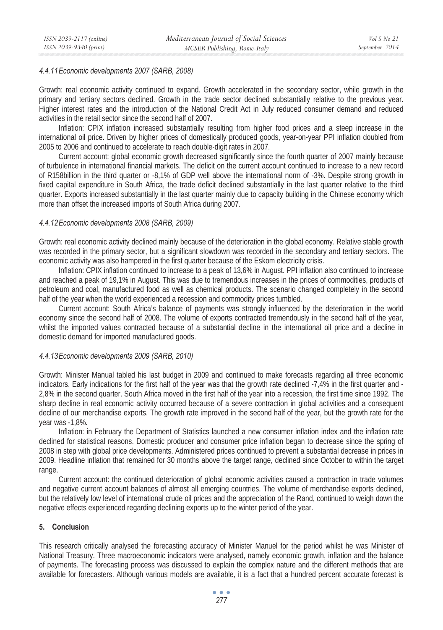## *4.4.11Economic developments 2007 (SARB, 2008)*

Growth: real economic activity continued to expand. Growth accelerated in the secondary sector, while growth in the primary and tertiary sectors declined. Growth in the trade sector declined substantially relative to the previous year. Higher interest rates and the introduction of the National Credit Act in July reduced consumer demand and reduced activities in the retail sector since the second half of 2007.

Inflation: CPIX inflation increased substantially resulting from higher food prices and a steep increase in the international oil price. Driven by higher prices of domestically produced goods, year-on-year PPI inflation doubled from 2005 to 2006 and continued to accelerate to reach double-digit rates in 2007.

Current account: global economic growth decreased significantly since the fourth quarter of 2007 mainly because of turbulence in international financial markets. The deficit on the current account continued to increase to a new record of R158billion in the third quarter or -8,1% of GDP well above the international norm of -3%. Despite strong growth in fixed capital expenditure in South Africa, the trade deficit declined substantially in the last quarter relative to the third quarter. Exports increased substantially in the last quarter mainly due to capacity building in the Chinese economy which more than offset the increased imports of South Africa during 2007.

## *4.4.12Economic developments 2008 (SARB, 2009)*

Growth: real economic activity declined mainly because of the deterioration in the global economy. Relative stable growth was recorded in the primary sector, but a significant slowdown was recorded in the secondary and tertiary sectors. The economic activity was also hampered in the first quarter because of the Eskom electricity crisis.

Inflation: CPIX inflation continued to increase to a peak of 13,6% in August. PPI inflation also continued to increase and reached a peak of 19,1% in August. This was due to tremendous increases in the prices of commodities, products of petroleum and coal, manufactured food as well as chemical products. The scenario changed completely in the second half of the year when the world experienced a recession and commodity prices tumbled.

Current account: South Africa's balance of payments was strongly influenced by the deterioration in the world economy since the second half of 2008. The volume of exports contracted tremendously in the second half of the year, whilst the imported values contracted because of a substantial decline in the international oil price and a decline in domestic demand for imported manufactured goods.

# *4.4.13Economic developments 2009 (SARB, 2010)*

Growth: Minister Manual tabled his last budget in 2009 and continued to make forecasts regarding all three economic indicators. Early indications for the first half of the year was that the growth rate declined -7,4% in the first quarter and - 2,8% in the second quarter. South Africa moved in the first half of the year into a recession, the first time since 1992. The sharp decline in real economic activity occurred because of a severe contraction in global activities and a consequent decline of our merchandise exports. The growth rate improved in the second half of the year, but the growth rate for the year was -1,8%.

Inflation: in February the Department of Statistics launched a new consumer inflation index and the inflation rate declined for statistical reasons. Domestic producer and consumer price inflation began to decrease since the spring of 2008 in step with global price developments. Administered prices continued to prevent a substantial decrease in prices in 2009. Headline inflation that remained for 30 months above the target range, declined since October to within the target range.

Current account: the continued deterioration of global economic activities caused a contraction in trade volumes and negative current account balances of almost all emerging countries. The volume of merchandise exports declined, but the relatively low level of international crude oil prices and the appreciation of the Rand, continued to weigh down the negative effects experienced regarding declining exports up to the winter period of the year.

# **5. Conclusion**

This research critically analysed the forecasting accuracy of Minister Manuel for the period whilst he was Minister of National Treasury. Three macroeconomic indicators were analysed, namely economic growth, inflation and the balance of payments. The forecasting process was discussed to explain the complex nature and the different methods that are available for forecasters. Although various models are available, it is a fact that a hundred percent accurate forecast is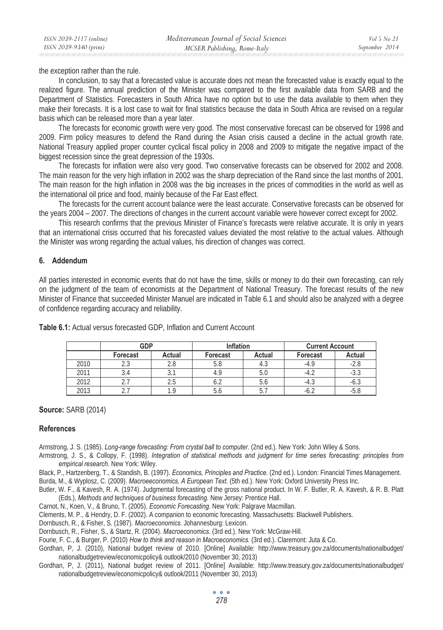the exception rather than the rule.

In conclusion, to say that a forecasted value is accurate does not mean the forecasted value is exactly equal to the realized figure. The annual prediction of the Minister was compared to the first available data from SARB and the Department of Statistics. Forecasters in South Africa have no option but to use the data available to them when they make their forecasts. It is a lost case to wait for final statistics because the data in South Africa are revised on a regular basis which can be released more than a year later.

The forecasts for economic growth were very good. The most conservative forecast can be observed for 1998 and 2009. Firm policy measures to defend the Rand during the Asian crisis caused a decline in the actual growth rate. National Treasury applied proper counter cyclical fiscal policy in 2008 and 2009 to mitigate the negative impact of the biggest recession since the great depression of the 1930s.

The forecasts for inflation were also very good. Two conservative forecasts can be observed for 2002 and 2008. The main reason for the very high inflation in 2002 was the sharp depreciation of the Rand since the last months of 2001. The main reason for the high inflation in 2008 was the big increases in the prices of commodities in the world as well as the international oil price and food, mainly because of the Far East effect.

The forecasts for the current account balance were the least accurate. Conservative forecasts can be observed for the years 2004 – 2007. The directions of changes in the current account variable were however correct except for 2002.

This research confirms that the previous Minister of Finance's forecasts were relative accurate. It is only in years that an international crisis occurred that his forecasted values deviated the most relative to the actual values. Although the Minister was wrong regarding the actual values, his direction of changes was correct.

## **6. Addendum**

All parties interested in economic events that do not have the time, skills or money to do their own forecasting, can rely on the judgment of the team of economists at the Department of National Treasury. The forecast results of the new Minister of Finance that succeeded Minister Manuel are indicated in Table 6.1 and should also be analyzed with a degree of confidence regarding accuracy and reliability.

|      | <b>GDP</b> |        | <b>Inflation</b> |        | <b>Current Account</b> |        |
|------|------------|--------|------------------|--------|------------------------|--------|
|      | Forecast   | Actual | Forecast         | Actual | Forecast               | Actual |
| 2010 | د. ے       |        | 5.8              | ฯ. ა   | $-4.9$                 | -2.8   |
| 2011 | 3.4        |        |                  |        |                        | $-3.3$ |
| 2012 | ے          |        | O.Z              | O.C    | ن.4-                   | -0.ა   |
| 2013 | ،          |        | 0.U              | ◡.     | ے .0-                  | -0.C   |

**Table 6.1:** Actual versus forecasted GDP, Inflation and Current Account

## **Source:** SARB (2014)

## **References**

Armstrong, J. S. (1985). *Long-range forecasting: From crystal ball to computer.* (2nd ed.). New York: John Wiley & Sons.

- Armstrong, J. S., & Collopy, F. (1998). *Integration of statistical methods and judgment for time series forecasting: principles from empirical research.* New York: Wiley.
- Black, P., Hartzenberg, T., & Standish, B. (1997). *Economics, Principles and Practice.* (2nd ed.). London: Financial Times Management.

Burda, M., & Wyplosz, C. (2009). *Macroeeconomics, A European Text.* (5th ed.). New York: Oxford University Press Inc.

- Butler, W. F., & Kavesh, R. A. (1974). Judgmental forecasting of the gross national product. In W. F. Butler, R. A. Kavesh, & R. B. Platt (Eds.), *Methods and techniques of business forecasting.* New Jersey: Prentice Hall.
- Carnot, N., Koen, V., & Bruno, T. (2005). *Economic Forecasting.* New York: Palgrave Macmillan.

Clements, M. P., & Hendry, D. F. (2002). A companion to economic forecasting. Massachusetts: Blackwell Publishers.

Dornbusch, R., & Fisher, S. (1987). *Macroeconomics.* Johannesburg: Lexicon.

Dornbusch, R., Fisher, S., & Startz, R. (2004). *Macroeconomics.* (3rd ed.). New York: McGraw-Hill.

Fourie, F. C., & Burger, P. (2010) *How to think and reason in Macroeconomics.* (3rd ed.). Claremont: Juta & Co.

Gordhan, P, J. (2010), National budget review of 2010. [Online] Available: http://www.treasury.gov.za/documents/nationalbudget/ nationalbudgetreview/economicpolicy& outlook/2010 (November 30, 2013)

Gordhan, P, J. (2011), National budget review of 2011. [Online] Available: http://www.treasury.gov.za/documents/nationalbudget/ nationalbudgetreview/economicpolicy& outlook/2011 (November 30, 2013)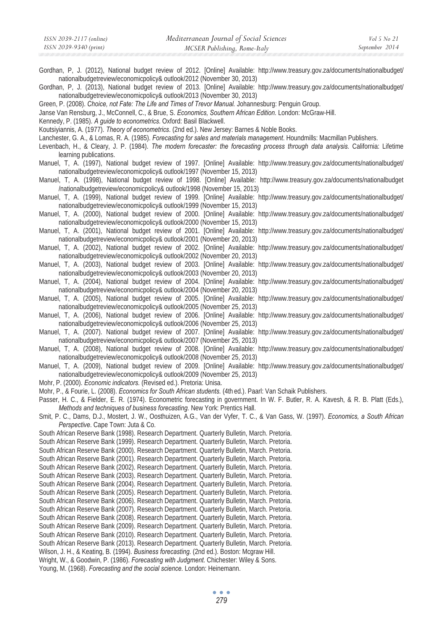Gordhan, P, J. (2012), National budget review of 2012. [Online] Available: http://www.treasury.gov.za/documents/nationalbudget/ nationalbudgetreview/economicpolicy& outlook/2012 (November 30, 2013)

Gordhan, P, J. (2013), National budget review of 2013. [Online] Available: http://www.treasury.gov.za/documents/nationalbudget/ nationalbudgetreview/economicpolicy& outlook/2013 (November 30, 2013)

Green, P. (2008). *Choice, not Fate: The Life and Times of Trevor Manual.* Johannesburg: Penguin Group.

Janse Van Rensburg, J., McConnell, C., & Brue, S. *Economics, Southern African Edition.* London: McGraw-Hill.

Kennedy, P. (1985). *A guide to econometrics.* Oxford: Basil Blackwell.

Koutsiyiannis, A. (1977). *Theory of econometrics*. (2nd ed.). New Jersey: Barnes & Noble Books.

Lanchester, G. A., & Lomas, R. A. (1985). *Forecasting for sales and materials management*. Houndmills: Macmillan Publishers.

Levenbach, H., & Cleary, J. P. (1984). *The modern forecaster: the forecasting process through data analysis.* California: Lifetime learning publications.

Manuel, T, A. (1997), National budget review of 1997. [Online] Available: http://www.treasury.gov.za/documents/nationalbudget/ nationalbudgetreview/economicpolicy& outlook/1997 (November 15, 2013)

Manuel, T, A. (1998), National budget review of 1998. [Online] Available: http://www.treasury.gov.za/documents/nationalbudget /nationalbudgetreview/economicpolicy& outlook/1998 (November 15, 2013)

Manuel, T, A. (1999), National budget review of 1999. [Online] Available: http://www.treasury.gov.za/documents/nationalbudget/ nationalbudgetreview/economicpolicy& outlook/1999 (November 15, 2013)

Manuel, T, A. (2000), National budget review of 2000. [Online] Available: http://www.treasury.gov.za/documents/nationalbudget/ nationalbudgetreview/economicpolicy& outlook/2000 (November 15, 2013)

Manuel, T, A. (2001), National budget review of 2001. [Online] Available: http://www.treasury.gov.za/documents/nationalbudget/ nationalbudgetreview/economicpolicy& outlook/2001 (November 20, 2013)

Manuel, T, A. (2002), National budget review of 2002. [Online] Available: http://www.treasury.gov.za/documents/nationalbudget/ nationalbudgetreview/economicpolicy& outlook/2002 (November 20, 2013)

Manuel, T, A. (2003), National budget review of 2003. [Online] Available: http://www.treasury.gov.za/documents/nationalbudget/ nationalbudgetreview/economicpolicy& outlook/2003 (November 20, 2013)

Manuel, T, A. (2004), National budget review of 2004. [Online] Available: http://www.treasury.gov.za/documents/nationalbudget/ nationalbudgetreview/economicpolicy& outlook/2004 (November 20, 2013)

Manuel, T, A. (2005), National budget review of 2005. [Online] Available: http://www.treasury.gov.za/documents/nationalbudget/ nationalbudgetreview/economicpolicy& outlook/2005 (November 25, 2013)

Manuel, T, A. (2006), National budget review of 2006. [Online] Available: http://www.treasury.gov.za/documents/nationalbudget/ nationalbudgetreview/economicpolicy& outlook/2006 (November 25, 2013)

Manuel, T, A. (2007). National budget review of 2007. [Online] Available: http://www.treasury.gov.za/documents/nationalbudget/ nationalbudgetreview/economicpolicy& outlook/2007 (November 25, 2013)

Manuel, T, A. (2008), National budget review of 2008. [Online] Available: http://www.treasury.gov.za/documents/nationalbudget/ nationalbudgetreview/economicpolicy& outlook/2008 (November 25, 2013)

Manuel, T, A. (2009), National budget review of 2009. [Online] Available: http://www.treasury.gov.za/documents/nationalbudget/ nationalbudgetreview/economicpolicy& outlook/2009 (November 25, 2013)

Mohr, P. (2000). *Economic indicators.* (Revised ed.). Pretoria: Unisa.

Mohr, P., & Fourie, L. (2008). *Economics for South African students.* (4th ed.). Paarl: Van Schaik Publishers.

Passer, H. C., & Fielder, E. R. (1974). Econometric forecasting in government. In W. F. Butler, R. A. Kavesh, & R. B. Platt (Eds.), *Methods and techniques of business forecasting.* New York: Prentics Hall.

Smit, P. C., Dams, D.J., Mostert, J. W., Oosthuizen, A.G., Van der Vyfer, T. C., & Van Gass, W. (1997). *Economics, a South African Perspective*. Cape Town: Juta & Co.

South African Reserve Bank (1998). Research Department. Quarterly Bulletin, March. Pretoria. South African Reserve Bank (1999). Research Department. Quarterly Bulletin, March. Pretoria. South African Reserve Bank (2000). Research Department. Quarterly Bulletin, March. Pretoria. South African Reserve Bank (2001). Research Department. Quarterly Bulletin, March. Pretoria. South African Reserve Bank (2002). Research Department. Quarterly Bulletin, March. Pretoria. South African Reserve Bank (2003). Research Department. Quarterly Bulletin, March. Pretoria. South African Reserve Bank (2004). Research Department. Quarterly Bulletin, March. Pretoria. South African Reserve Bank (2005). Research Department. Quarterly Bulletin, March. Pretoria. South African Reserve Bank (2006). Research Department. Quarterly Bulletin, March. Pretoria. South African Reserve Bank (2007). Research Department. Quarterly Bulletin, March. Pretoria. South African Reserve Bank (2008). Research Department. Quarterly Bulletin, March. Pretoria. South African Reserve Bank (2009). Research Department. Quarterly Bulletin, March. Pretoria. South African Reserve Bank (2010). Research Department. Quarterly Bulletin, March. Pretoria. South African Reserve Bank (2013). Research Department. Quarterly Bulletin, March. Pretoria. Wilson, J. H., & Keating, B. (1994). *Business forecasting.* (2nd ed.). Boston: Mcgraw Hill. Wright, W., & Goodwin, P. (1986). *Forecasting with Judgment*. Chichester: Wiley & Sons. Young, M. (1968). *Forecasting and the social science.* London: Heinemann.